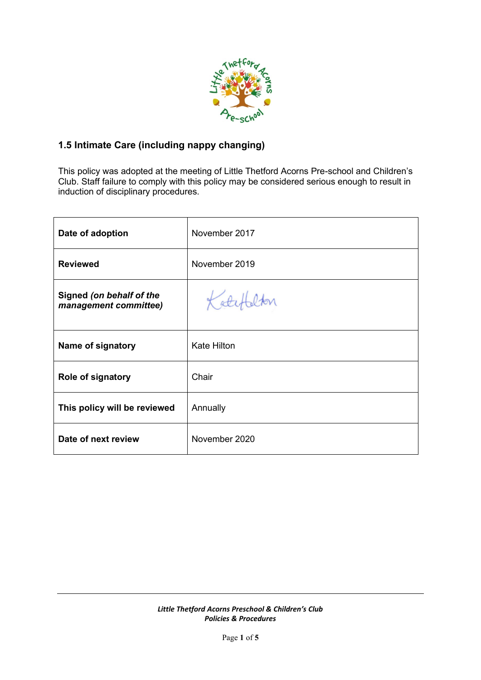

# **1.5 Intimate Care (including nappy changing)**

This policy was adopted at the meeting of Little Thetford Acorns Pre-school and Children's Club. Staff failure to comply with this policy may be considered serious enough to result in induction of disciplinary procedures.

| Date of adoption                                  | November 2017      |
|---------------------------------------------------|--------------------|
| <b>Reviewed</b>                                   | November 2019      |
| Signed (on behalf of the<br>management committee) | Katefalton         |
| Name of signatory                                 | <b>Kate Hilton</b> |
| <b>Role of signatory</b>                          | Chair              |
| This policy will be reviewed                      | Annually           |
| Date of next review                               | November 2020      |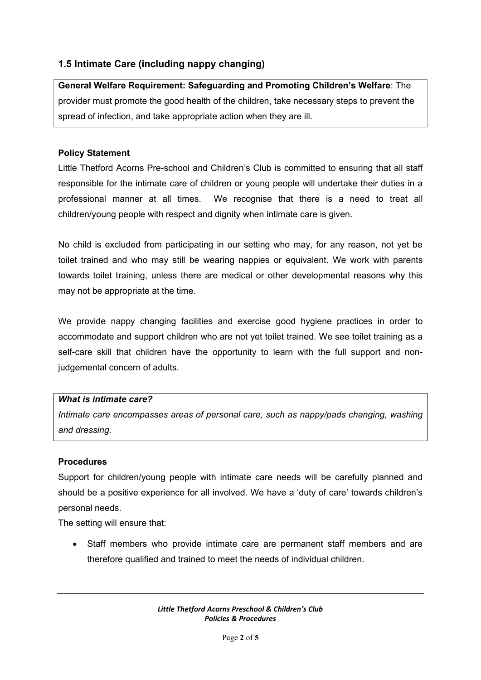# **1.5 Intimate Care (including nappy changing)**

**General Welfare Requirement: Safeguarding and Promoting Children's Welfare**: The provider must promote the good health of the children, take necessary steps to prevent the spread of infection, and take appropriate action when they are ill.

#### **Policy Statement**

Little Thetford Acorns Pre-school and Children's Club is committed to ensuring that all staff responsible for the intimate care of children or young people will undertake their duties in a professional manner at all times. We recognise that there is a need to treat all children/young people with respect and dignity when intimate care is given.

No child is excluded from participating in our setting who may, for any reason, not yet be toilet trained and who may still be wearing nappies or equivalent. We work with parents towards toilet training, unless there are medical or other developmental reasons why this may not be appropriate at the time.

We provide nappy changing facilities and exercise good hygiene practices in order to accommodate and support children who are not yet toilet trained. We see toilet training as a self-care skill that children have the opportunity to learn with the full support and nonjudgemental concern of adults.

#### *What is intimate care?*

*Intimate care encompasses areas of personal care, such as nappy/pads changing, washing and dressing.* 

### **Procedures**

Support for children/young people with intimate care needs will be carefully planned and should be a positive experience for all involved. We have a 'duty of care' towards children's personal needs.

The setting will ensure that:

• Staff members who provide intimate care are permanent staff members and are therefore qualified and trained to meet the needs of individual children.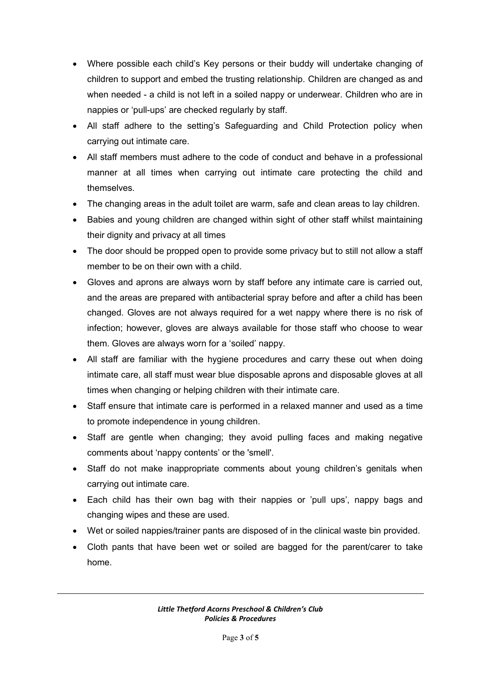- Where possible each child's Key persons or their buddy will undertake changing of children to support and embed the trusting relationship. Children are changed as and when needed - a child is not left in a soiled nappy or underwear. Children who are in nappies or 'pull-ups' are checked regularly by staff.
- All staff adhere to the setting's Safeguarding and Child Protection policy when carrying out intimate care.
- All staff members must adhere to the code of conduct and behave in a professional manner at all times when carrying out intimate care protecting the child and themselves.
- The changing areas in the adult toilet are warm, safe and clean areas to lay children.
- Babies and young children are changed within sight of other staff whilst maintaining their dignity and privacy at all times
- The door should be propped open to provide some privacy but to still not allow a staff member to be on their own with a child.
- Gloves and aprons are always worn by staff before any intimate care is carried out, and the areas are prepared with antibacterial spray before and after a child has been changed. Gloves are not always required for a wet nappy where there is no risk of infection; however, gloves are always available for those staff who choose to wear them. Gloves are always worn for a 'soiled' nappy.
- All staff are familiar with the hygiene procedures and carry these out when doing intimate care, all staff must wear blue disposable aprons and disposable gloves at all times when changing or helping children with their intimate care.
- Staff ensure that intimate care is performed in a relaxed manner and used as a time to promote independence in young children.
- Staff are gentle when changing; they avoid pulling faces and making negative comments about 'nappy contents' or the 'smell'.
- Staff do not make inappropriate comments about young children's genitals when carrying out intimate care.
- Each child has their own bag with their nappies or 'pull ups', nappy bags and changing wipes and these are used.
- Wet or soiled nappies/trainer pants are disposed of in the clinical waste bin provided.
- Cloth pants that have been wet or soiled are bagged for the parent/carer to take home.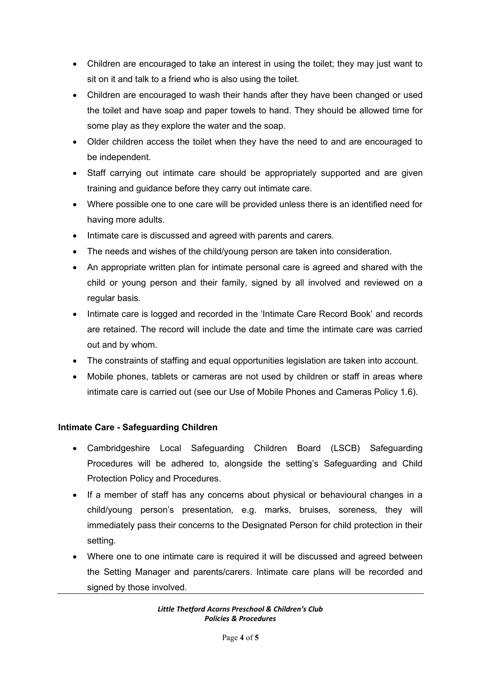- Children are encouraged to take an interest in using the toilet; they may just want to sit on it and talk to a friend who is also using the toilet.
- Children are encouraged to wash their hands after they have been changed or used the toilet and have soap and paper towels to hand. They should be allowed time for some play as they explore the water and the soap.
- Older children access the toilet when they have the need to and are encouraged to be independent.
- Staff carrying out intimate care should be appropriately supported and are given training and guidance before they carry out intimate care.
- Where possible one to one care will be provided unless there is an identified need for having more adults.
- Intimate care is discussed and agreed with parents and carers.
- The needs and wishes of the child/young person are taken into consideration.
- An appropriate written plan for intimate personal care is agreed and shared with the child or young person and their family, signed by all involved and reviewed on a regular basis.
- Intimate care is logged and recorded in the 'Intimate Care Record Book' and records are retained. The record will include the date and time the intimate care was carried out and by whom.
- The constraints of staffing and equal opportunities legislation are taken into account.
- Mobile phones, tablets or cameras are not used by children or staff in areas where intimate care is carried out (see our Use of Mobile Phones and Cameras Policy 1.6).

## **Intimate Care - Safeguarding Children**

- Cambridgeshire Local Safeguarding Children Board (LSCB) Safeguarding Procedures will be adhered to, alongside the setting's Safeguarding and Child Protection Policy and Procedures.
- If a member of staff has any concerns about physical or behavioural changes in a child/young person's presentation, e.g. marks, bruises, soreness, they will immediately pass their concerns to the Designated Person for child protection in their setting.
- Where one to one intimate care is required it will be discussed and agreed between the Setting Manager and parents/carers. Intimate care plans will be recorded and signed by those involved.